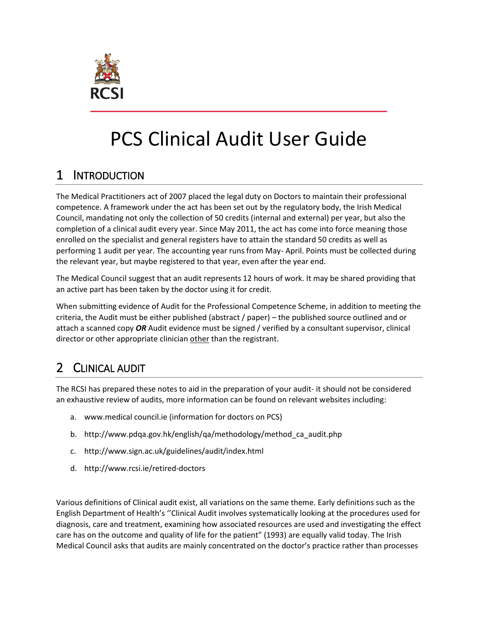

# PCS Clinical Audit User Guide

## 1 INTRODUCTION

The Medical Practitioners act of 2007 placed the legal duty on Doctors to maintain their professional competence. A framework under the act has been set out by the regulatory body, the Irish Medical Council, mandating not only the collection of 50 credits (internal and external) per year, but also the completion of a clinical audit every year. Since May 2011, the act has come into force meaning those enrolled on the specialist and general registers have to attain the standard 50 credits as well as performing 1 audit per year. The accounting year runs from May- April. Points must be collected during the relevant year, but maybe registered to that year, even after the year end.

The Medical Council suggest that an audit represents 12 hours of work. It may be shared providing that an active part has been taken by the doctor using it for credit.

When submitting evidence of Audit for the Professional Competence Scheme, in addition to meeting the criteria, the Audit must be either published (abstract / paper) – the published source outlined and or attach a scanned copy *OR* Audit evidence must be signed / verified by a consultant supervisor, clinical director or other appropriate clinician other than the registrant.

## 2 CLINICAL AUDIT

The RCSI has prepared these notes to aid in the preparation of your audit- it should not be considered an exhaustive review of audits, more information can be found on relevant websites including:

- a. www.medical council.ie (information for doctors on PCS)
- b. [http://www.pdqa.gov.hk/english/qa/methodology/method\\_ca\\_audit.php](http://www.pdqa.gov.hk/english/qa/methodology/method_ca_audit.php)
- c. <http://www.sign.ac.uk/guidelines/audit/index.html>
- d. http://www.rcsi.ie/retired-doctors

Various definitions of Clinical audit exist, all variations on the same theme. Early definitions such as the English Department of Health's ''Clinical Audit involves systematically looking at the procedures used for diagnosis, care and treatment, examining how associated resources are used and investigating the effect care has on the outcome and quality of life for the patient" (1993) are equally valid today. The Irish Medical Council asks that audits are mainly concentrated on the doctor's practice rather than processes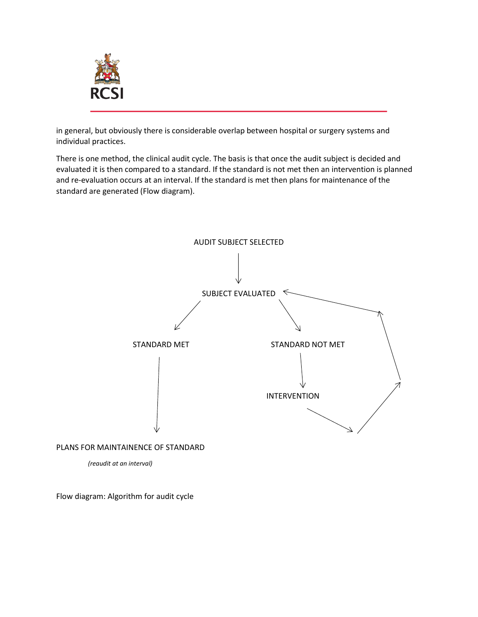

in general, but obviously there is considerable overlap between hospital or surgery systems and individual practices.

There is one method, the clinical audit cycle. The basis is that once the audit subject is decided and evaluated it is then compared to a standard. If the standard is not met then an intervention is planned and re-evaluation occurs at an interval. If the standard is met then plans for maintenance of the standard are generated (Flow diagram).



Flow diagram: Algorithm for audit cycle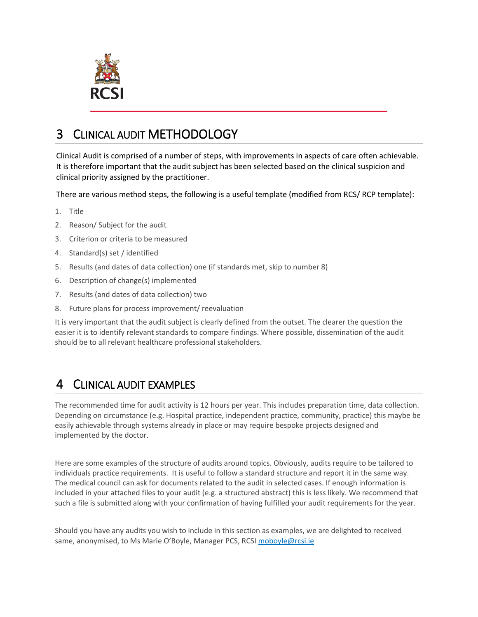

## 3 CLINICAL AUDIT METHODOLOGY

Clinical Audit is comprised of a number of steps, with improvements in aspects of care often achievable. It is therefore important that the audit subject has been selected based on the clinical suspicion and clinical priority assigned by the practitioner.

There are various method steps, the following is a useful template (modified from RCS/ RCP template):

- 1. Title
- 2. Reason/ Subject for the audit
- 3. Criterion or criteria to be measured
- 4. Standard(s) set / identified
- 5. Results (and dates of data collection) one (if standards met, skip to number 8)
- 6. Description of change(s) implemented
- 7. Results (and dates of data collection) two
- 8. Future plans for process improvement/ reevaluation

It is very important that the audit subject is clearly defined from the outset. The clearer the question the easier it is to identify relevant standards to compare findings. Where possible, dissemination of the audit should be to all relevant healthcare professional stakeholders.

## 4 CLINICAL AUDIT EXAMPLES

The recommended time for audit activity is 12 hours per year. This includes preparation time, data collection. Depending on circumstance (e.g. Hospital practice, independent practice, community, practice) this maybe be easily achievable through systems already in place or may require bespoke projects designed and implemented by the doctor.

Here are some examples of the structure of audits around topics. Obviously, audits require to be tailored to individuals practice requirements. It is useful to follow a standard structure and report it in the same way. The medical council can ask for documents related to the audit in selected cases. If enough information is included in your attached files to your audit (e.g. a structured abstract) this is less likely. We recommend that such a file is submitted along with your confirmation of having fulfilled your audit requirements for the year.

Should you have any audits you wish to include in this section as examples, we are delighted to received same, anonymised, to Ms Marie O'Boyle, Manager PCS, RCSI moboyle@rcsi.ie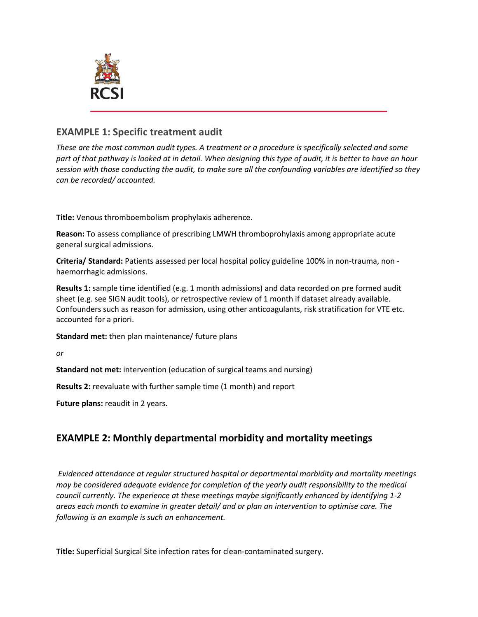

#### **EXAMPLE 1: Specific treatment audit**

*These are the most common audit types. A treatment or a procedure is specifically selected and some part of that pathway is looked at in detail. When designing this type of audit, it is better to have an hour session with those conducting the audit, to make sure all the confounding variables are identified so they can be recorded/ accounted.*

**Title:** Venous thromboembolism prophylaxis adherence.

**Reason:** To assess compliance of prescribing LMWH thromboprohylaxis among appropriate acute general surgical admissions.

**Criteria/ Standard:** Patients assessed per local hospital policy guideline 100% in non-trauma, non haemorrhagic admissions.

**Results 1:** sample time identified (e.g. 1 month admissions) and data recorded on pre formed audit sheet (e.g. see SIGN audit tools), or retrospective review of 1 month if dataset already available. Confounders such as reason for admission, using other anticoagulants, risk stratification for VTE etc. accounted for a priori.

**Standard met:** then plan maintenance/ future plans

*or*

**Standard not met:** intervention (education of surgical teams and nursing)

**Results 2:** reevaluate with further sample time (1 month) and report

**Future plans:** reaudit in 2 years.

#### **EXAMPLE 2: Monthly departmental morbidity and mortality meetings**

*Evidenced attendance at regular structured hospital or departmental morbidity and mortality meetings may be considered adequate evidence for completion of the yearly audit responsibility to the medical council currently. The experience at these meetings maybe significantly enhanced by identifying 1-2 areas each month to examine in greater detail/ and or plan an intervention to optimise care. The following is an example is such an enhancement.*

**Title:** Superficial Surgical Site infection rates for clean-contaminated surgery.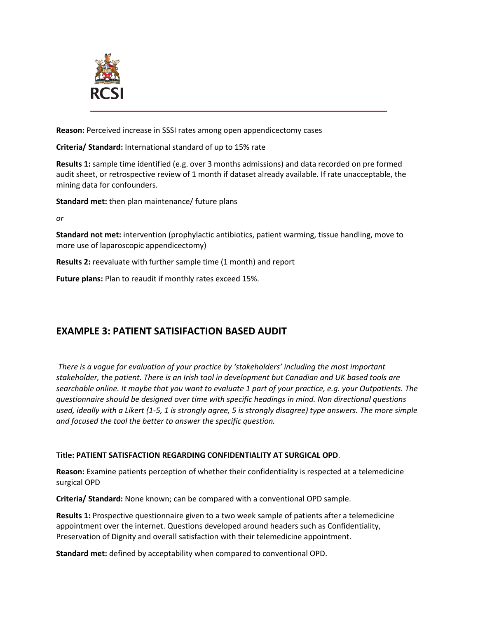

**Reason:** Perceived increase in SSSI rates among open appendicectomy cases

**Criteria/ Standard:** International standard of up to 15% rate

**Results 1:** sample time identified (e.g. over 3 months admissions) and data recorded on pre formed audit sheet, or retrospective review of 1 month if dataset already available. If rate unacceptable, the mining data for confounders.

**Standard met:** then plan maintenance/ future plans

*or*

**Standard not met:** intervention (prophylactic antibiotics, patient warming, tissue handling, move to more use of laparoscopic appendicectomy)

**Results 2:** reevaluate with further sample time (1 month) and report

**Future plans:** Plan to reaudit if monthly rates exceed 15%.

#### **EXAMPLE 3: PATIENT SATISIFACTION BASED AUDIT**

*There is a vogue for evaluation of your practice by 'stakeholders' including the most important stakeholder, the patient. There is an Irish tool in development but Canadian and UK based tools are searchable online. It maybe that you want to evaluate 1 part of your practice, e.g. your Outpatients. The questionnaire should be designed over time with specific headings in mind. Non directional questions used, ideally with a Likert (1-5, 1 is strongly agree, 5 is strongly disagree) type answers. The more simple and focused the tool the better to answer the specific question.*

#### **Title: PATIENT SATISFACTION REGARDING CONFIDENTIALITY AT SURGICAL OPD**.

**Reason:** Examine patients perception of whether their confidentiality is respected at a telemedicine surgical OPD

**Criteria/ Standard:** None known; can be compared with a conventional OPD sample.

**Results 1:** Prospective questionnaire given to a two week sample of patients after a telemedicine appointment over the internet. Questions developed around headers such as Confidentiality, Preservation of Dignity and overall satisfaction with their telemedicine appointment.

**Standard met:** defined by acceptability when compared to conventional OPD.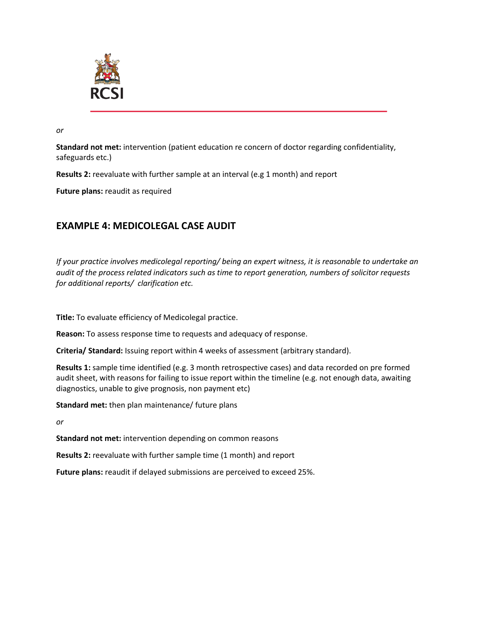

*or*

**Standard not met:** intervention (patient education re concern of doctor regarding confidentiality, safeguards etc.)

**Results 2:** reevaluate with further sample at an interval (e.g 1 month) and report

**Future plans:** reaudit as required

### **EXAMPLE 4: MEDICOLEGAL CASE AUDIT**

*If your practice involves medicolegal reporting/ being an expert witness, it is reasonable to undertake an audit of the process related indicators such as time to report generation, numbers of solicitor requests for additional reports/ clarification etc.*

**Title:** To evaluate efficiency of Medicolegal practice.

**Reason:** To assess response time to requests and adequacy of response.

**Criteria/ Standard:** Issuing report within 4 weeks of assessment (arbitrary standard).

**Results 1:** sample time identified (e.g. 3 month retrospective cases) and data recorded on pre formed audit sheet, with reasons for failing to issue report within the timeline (e.g. not enough data, awaiting diagnostics, unable to give prognosis, non payment etc)

**Standard met:** then plan maintenance/ future plans

*or*

**Standard not met:** intervention depending on common reasons

**Results 2:** reevaluate with further sample time (1 month) and report

**Future plans:** reaudit if delayed submissions are perceived to exceed 25%.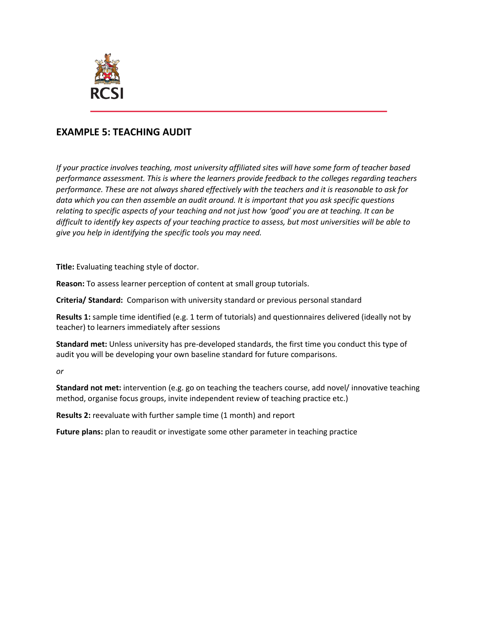

#### **EXAMPLE 5: TEACHING AUDIT**

*If your practice involves teaching, most university affiliated sites will have some form of teacher based performance assessment. This is where the learners provide feedback to the colleges regarding teachers performance. These are not always shared effectively with the teachers and it is reasonable to ask for data which you can then assemble an audit around. It is important that you ask specific questions relating to specific aspects of your teaching and not just how 'good' you are at teaching. It can be difficult to identify key aspects of your teaching practice to assess, but most universities will be able to give you help in identifying the specific tools you may need.*

**Title:** Evaluating teaching style of doctor.

**Reason:** To assess learner perception of content at small group tutorials.

**Criteria/ Standard:** Comparison with university standard or previous personal standard

**Results 1:** sample time identified (e.g. 1 term of tutorials) and questionnaires delivered (ideally not by teacher) to learners immediately after sessions

**Standard met:** Unless university has pre-developed standards, the first time you conduct this type of audit you will be developing your own baseline standard for future comparisons.

*or*

**Standard not met:** intervention (e.g. go on teaching the teachers course, add novel/ innovative teaching method, organise focus groups, invite independent review of teaching practice etc.)

**Results 2:** reevaluate with further sample time (1 month) and report

**Future plans:** plan to reaudit or investigate some other parameter in teaching practice